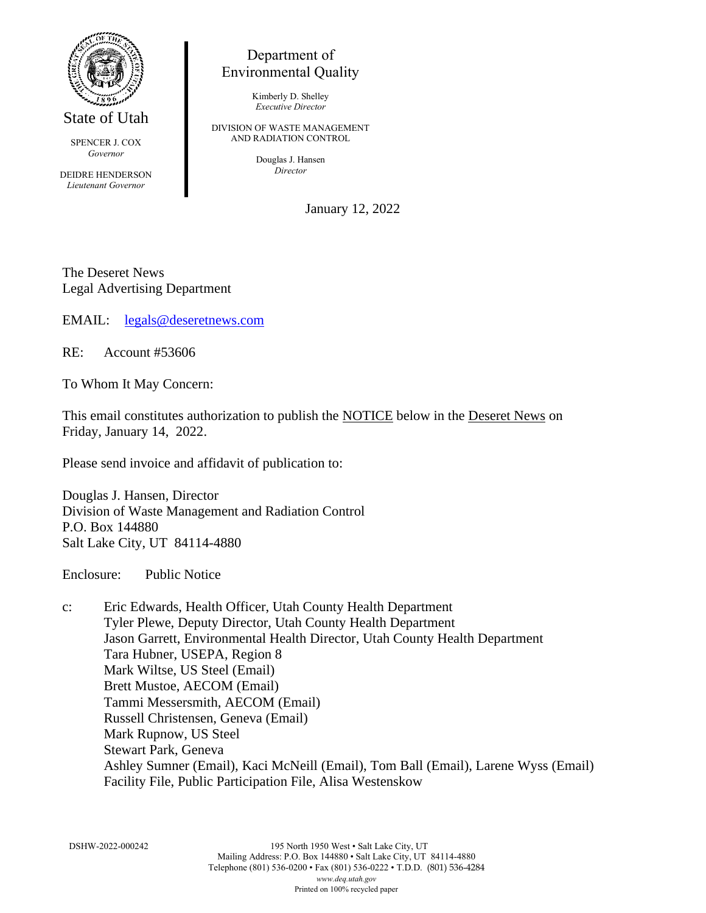

State of Utah

SPENCER J. COX *Governor*

DEIDRE HENDERSON *Lieutenant Governor*

## Department of Environmental Quality

Kimberly D. Shelley *Executive Director*

DIVISION OF WASTE MANAGEMENT AND RADIATION CONTROL

> Douglas J. Hansen *Director*

> > January 12, 2022

The Deseret News Legal Advertising Department

EMAIL: [legals@deseretnews.com](mailto:legals@deseretnews.com)

RE: Account #53606

To Whom It May Concern:

This email constitutes authorization to publish the NOTICE below in the Deseret News on Friday, January 14, 2022.

Please send invoice and affidavit of publication to:

Douglas J. Hansen, Director Division of Waste Management and Radiation Control P.O. Box 144880 Salt Lake City, UT 84114-4880

Enclosure: Public Notice

c: Eric Edwards, Health Officer, Utah County Health Department Tyler Plewe, Deputy Director, Utah County Health Department Jason Garrett, Environmental Health Director, Utah County Health Department Tara Hubner, USEPA, Region 8 Mark Wiltse, US Steel (Email) Brett Mustoe, AECOM (Email) Tammi Messersmith, AECOM (Email) Russell Christensen, Geneva (Email) Mark Rupnow, US Steel Stewart Park, Geneva Ashley Sumner (Email), Kaci McNeill (Email), Tom Ball (Email), Larene Wyss (Email) Facility File, Public Participation File, Alisa Westenskow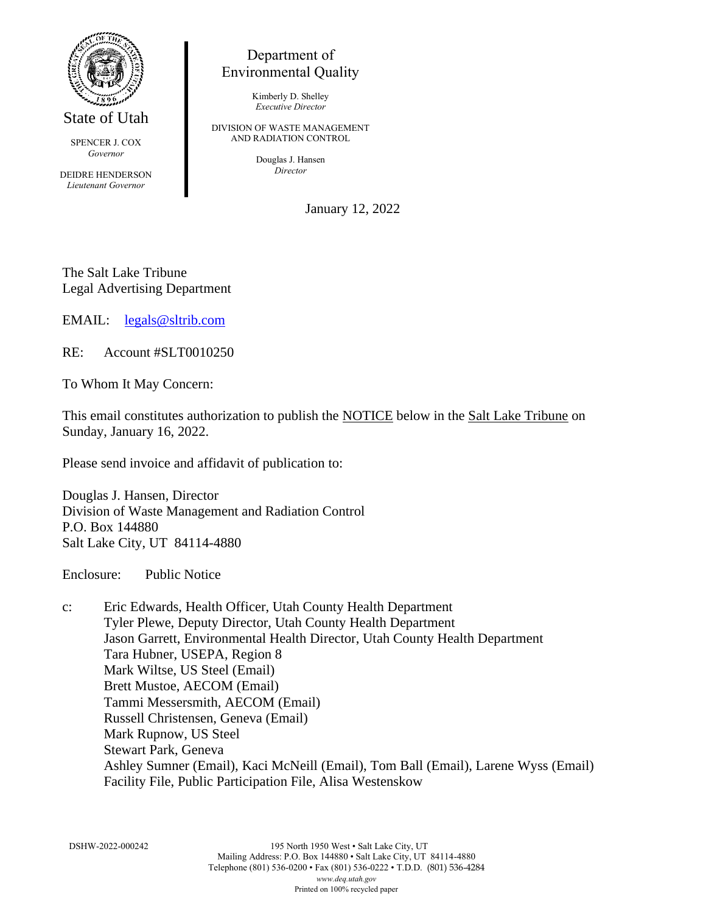

State of Utah

SPENCER J. COX *Governor*

DEIDRE HENDERSON *Lieutenant Governor*

## Department of Environmental Quality

Kimberly D. Shelley *Executive Director*

DIVISION OF WASTE MANAGEMENT AND RADIATION CONTROL

> Douglas J. Hansen *Director*

> > January 12, 2022

The Salt Lake Tribune Legal Advertising Department

EMAIL: [legals@sltrib.com](mailto:legals@sltrib.com)

RE: Account #SLT0010250

To Whom It May Concern:

This email constitutes authorization to publish the NOTICE below in the Salt Lake Tribune on Sunday, January 16, 2022.

Please send invoice and affidavit of publication to:

Douglas J. Hansen, Director Division of Waste Management and Radiation Control P.O. Box 144880 Salt Lake City, UT 84114-4880

Enclosure: Public Notice

c: Eric Edwards, Health Officer, Utah County Health Department Tyler Plewe, Deputy Director, Utah County Health Department Jason Garrett, Environmental Health Director, Utah County Health Department Tara Hubner, USEPA, Region 8 Mark Wiltse, US Steel (Email) Brett Mustoe, AECOM (Email) Tammi Messersmith, AECOM (Email) Russell Christensen, Geneva (Email) Mark Rupnow, US Steel Stewart Park, Geneva Ashley Sumner (Email), Kaci McNeill (Email), Tom Ball (Email), Larene Wyss (Email) Facility File, Public Participation File, Alisa Westenskow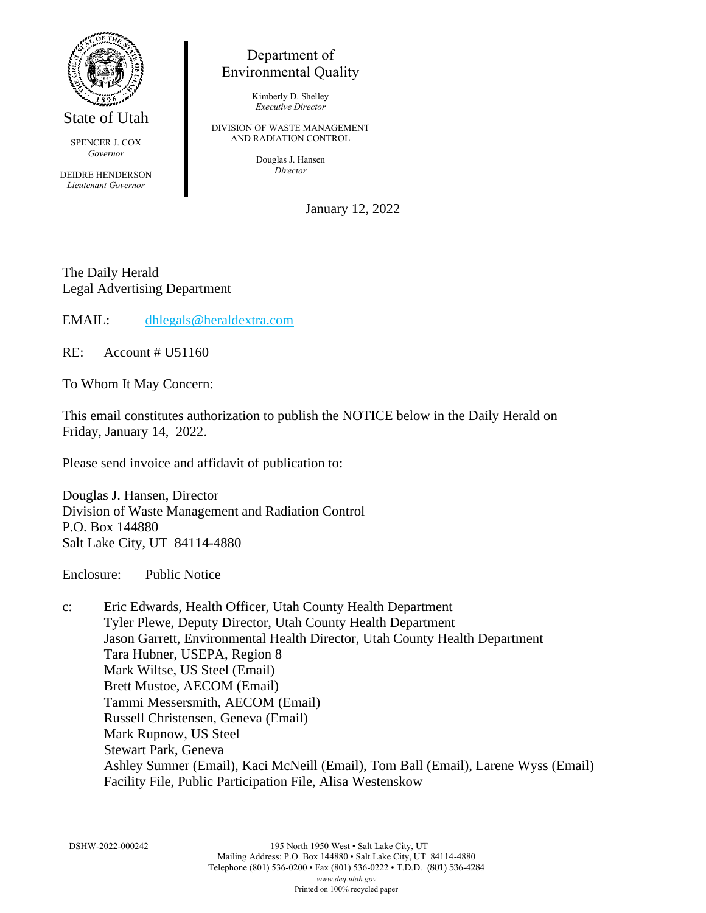

State of Utah

SPENCER J. COX *Governor*

DEIDRE HENDERSON *Lieutenant Governor*

## Department of Environmental Quality

Kimberly D. Shelley *Executive Director*

DIVISION OF WASTE MANAGEMENT AND RADIATION CONTROL

> Douglas J. Hansen *Director*

> > January 12, 2022

The Daily Herald Legal Advertising Department

EMAIL: [dhlegals@heraldextra.com](mailto:dhlegals@heraldextra.com)

RE: Account # U51160

To Whom It May Concern:

This email constitutes authorization to publish the NOTICE below in the Daily Herald on Friday, January 14, 2022.

Please send invoice and affidavit of publication to:

Douglas J. Hansen, Director Division of Waste Management and Radiation Control P.O. Box 144880 Salt Lake City, UT 84114-4880

Enclosure: Public Notice

c: Eric Edwards, Health Officer, Utah County Health Department Tyler Plewe, Deputy Director, Utah County Health Department Jason Garrett, Environmental Health Director, Utah County Health Department Tara Hubner, USEPA, Region 8 Mark Wiltse, US Steel (Email) Brett Mustoe, AECOM (Email) Tammi Messersmith, AECOM (Email) Russell Christensen, Geneva (Email) Mark Rupnow, US Steel Stewart Park, Geneva Ashley Sumner (Email), Kaci McNeill (Email), Tom Ball (Email), Larene Wyss (Email) Facility File, Public Participation File, Alisa Westenskow